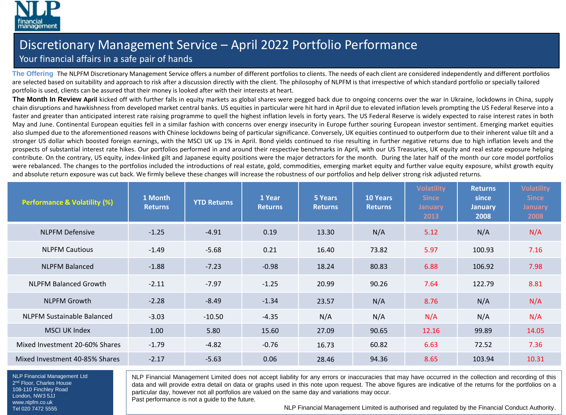

## Discretionary Management Service – April 2022 Portfolio Performance

## Your financial affairs in a safe pair of hands

**The Offering** The NLPFM Discretionary Management Service offers a number of different portfolios to clients. The needs of each client are considered independently and different portfolios are selected based on suitability and approach to risk after a discussion directly with the client. The philosophy of NLPFM is that irrespective of which standard portfolio or specially tailored portfolio is used, clients can be assured that their money is looked after with their interests at heart.

**The Month In Review April** kicked off with further falls in equity markets as global shares were pegged back due to ongoing concerns over the war in Ukraine, lockdowns in China, supply chain disruptions and hawkishness from developed market central banks. US equities in particular were hit hard in April due to elevated inflation levels prompting the US Federal Reserve into a faster and greater than anticipated interest rate raising programme to quell the highest inflation levels in forty years. The US Federal Reserve is widely expected to raise interest rates in both May and June. Continental European equities fell in a similar fashion with concerns over energy insecurity in Europe further souring European investor sentiment. Emerging market equities also slumped due to the aforementioned reasons with Chinese lockdowns being of particular significance. Conversely, UK equities continued to outperform due to their inherent value tilt and a stronger US dollar which boosted foreign earnings, with the MSCI UK up 1% in April. Bond yields continued to rise resulting in further negative returns due to high inflation levels and the prospects of substantial interest rate hikes. Our portfolios performed in and around their respective benchmarks in April, with our US Treasuries, UK equity and real estate exposure helping contribute. On the contrary, US equity, index-linked gilt and Japanese equity positions were the major detractors for the month. During the later half of the month our core model portfolios were rebalanced. The changes to the portfolios included the introductions of real estate, gold, commodities, emerging market equity and further value equity exposure, whilst growth equity and absolute return exposure was cut back. We firmly believe these changes will increase the robustness of our portfolios and help deliver strong risk adjusted returns.

| <b>Performance &amp; Volatility (%)</b> | 1 Month<br><b>Returns</b> | <b>YTD Returns</b> | 1 Year<br><b>Returns</b> | 5 Years<br><b>Returns</b> | <b>10 Years</b><br><b>Returns</b> | <b>Volatility</b><br><b>Since</b><br><b>January</b><br>2013 | <b>Returns</b><br>since<br><b>January</b><br>2008 | <b>Volatility</b><br><b>Since</b><br><b>January</b><br>2008 |
|-----------------------------------------|---------------------------|--------------------|--------------------------|---------------------------|-----------------------------------|-------------------------------------------------------------|---------------------------------------------------|-------------------------------------------------------------|
| <b>NLPFM Defensive</b>                  | $-1.25$                   | $-4.91$            | 0.19                     | 13.30                     | N/A                               | 5.12                                                        | N/A                                               | N/A                                                         |
| <b>NLPFM Cautious</b>                   | $-1.49$                   | $-5.68$            | 0.21                     | 16.40                     | 73.82                             | 5.97                                                        | 100.93                                            | 7.16                                                        |
| <b>NLPFM Balanced</b>                   | $-1.88$                   | $-7.23$            | $-0.98$                  | 18.24                     | 80.83                             | 6.88                                                        | 106.92                                            | 7.98                                                        |
| <b>NLPFM Balanced Growth</b>            | $-2.11$                   | $-7.97$            | $-1.25$                  | 20.99                     | 90.26                             | 7.64                                                        | 122.79                                            | 8.81                                                        |
| <b>NLPFM Growth</b>                     | $-2.28$                   | $-8.49$            | $-1.34$                  | 23.57                     | N/A                               | 8.76                                                        | N/A                                               | N/A                                                         |
| NLPFM Sustainable Balanced              | $-3.03$                   | $-10.50$           | $-4.35$                  | N/A                       | N/A                               | N/A                                                         | N/A                                               | N/A                                                         |
| <b>MSCI UK Index</b>                    | 1.00                      | 5.80               | 15.60                    | 27.09                     | 90.65                             | 12.16                                                       | 99.89                                             | 14.05                                                       |
| Mixed Investment 20-60% Shares          | $-1.79$                   | $-4.82$            | $-0.76$                  | 16.73                     | 60.82                             | 6.63                                                        | 72.52                                             | 7.36                                                        |
| Mixed Investment 40-85% Shares          | $-2.17$                   | $-5.63$            | 0.06                     | 28.46                     | 94.36                             | 8.65                                                        | 103.94                                            | 10.31                                                       |

NLP Financial Management Ltd 2<sup>nd</sup> Floor, Charles House 108-110 Finchley Road London, NW3 5JJ www.nlpfm.co.uk Tel 020 7472 5555

NLP Financial Management Limited does not accept liability for any errors or inaccuracies that may have occurred in the collection and recording of this data and will provide extra detail on data or graphs used in this note upon request. The above figures are indicative of the returns for the portfolios on a particular day, however not all portfolios are valued on the same day and variations may occur.

Past performance is not a guide to the future.

NLP Financial Management Limited is authorised and regulated by the Financial Conduct Authority.